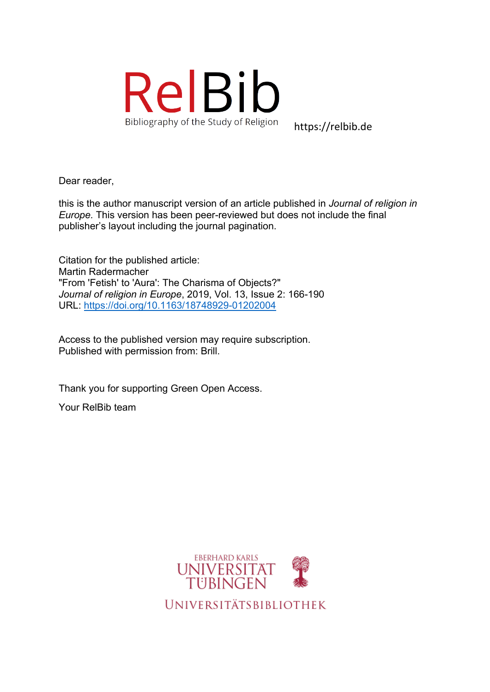

https://relbib.de

Dear reader,

this is the author manuscript version of an article published in *Journal of religion in Europe.* This version has been peer-reviewed but does not include the final publisher's layout including the journal pagination.

Citation for the published article: Martin Radermacher "From 'Fetish' to 'Aura': The Charisma of Objects?" *Journal of religion in Europe*, 2019, Vol. 13, Issue 2: 166-190 URL: https://doi.org/10.1163/18748929-01202004

Access to the published version may require subscription. Published with permission from: Brill.

Thank you for supporting Green Open Access.

Your RelBib team

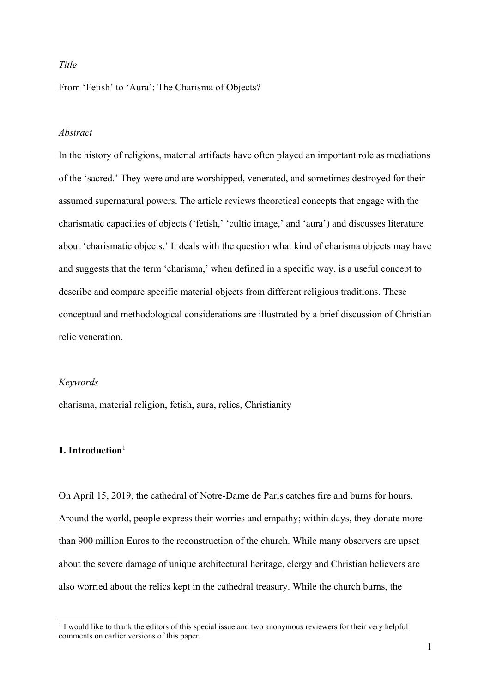## *Title*

From 'Fetish' to 'Aura': The Charisma of Objects?

## *Abstract*

In the history of religions, material artifacts have often played an important role as mediations of the 'sacred.' They were and are worshipped, venerated, and sometimes destroyed for their assumed supernatural powers. The article reviews theoretical concepts that engage with the charismatic capacities of objects ('fetish,' 'cultic image,' and 'aura') and discusses literature about 'charismatic objects.' It deals with the question what kind of charisma objects may have and suggests that the term 'charisma,' when defined in a specific way, is a useful concept to describe and compare specific material objects from different religious traditions. These conceptual and methodological considerations are illustrated by a brief discussion of Christian relic veneration.

#### *Keywords*

charisma, material religion, fetish, aura, relics, Christianity

## **1. Introduction**<sup>1</sup>

On April 15, 2019, the cathedral of Notre-Dame de Paris catches fire and burns for hours. Around the world, people express their worries and empathy; within days, they donate more than 900 million Euros to the reconstruction of the church. While many observers are upset about the severe damage of unique architectural heritage, clergy and Christian believers are also worried about the relics kept in the cathedral treasury. While the church burns, the

<sup>&</sup>lt;sup>1</sup> I would like to thank the editors of this special issue and two anonymous reviewers for their very helpful comments on earlier versions of this paper.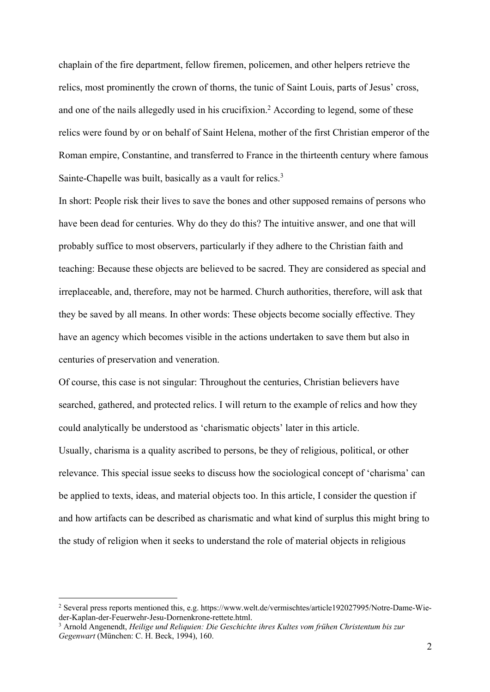chaplain of the fire department, fellow firemen, policemen, and other helpers retrieve the relics, most prominently the crown of thorns, the tunic of Saint Louis, parts of Jesus' cross, and one of the nails allegedly used in his crucifixion.<sup>2</sup> According to legend, some of these relics were found by or on behalf of Saint Helena, mother of the first Christian emperor of the Roman empire, Constantine, and transferred to France in the thirteenth century where famous Sainte-Chapelle was built, basically as a vault for relics.<sup>3</sup>

In short: People risk their lives to save the bones and other supposed remains of persons who have been dead for centuries. Why do they do this? The intuitive answer, and one that will probably suffice to most observers, particularly if they adhere to the Christian faith and teaching: Because these objects are believed to be sacred. They are considered as special and irreplaceable, and, therefore, may not be harmed. Church authorities, therefore, will ask that they be saved by all means. In other words: These objects become socially effective. They have an agency which becomes visible in the actions undertaken to save them but also in centuries of preservation and veneration.

Of course, this case is not singular: Throughout the centuries, Christian believers have searched, gathered, and protected relics. I will return to the example of relics and how they could analytically be understood as 'charismatic objects' later in this article. Usually, charisma is a quality ascribed to persons, be they of religious, political, or other relevance. This special issue seeks to discuss how the sociological concept of 'charisma' can be applied to texts, ideas, and material objects too. In this article, I consider the question if and how artifacts can be described as charismatic and what kind of surplus this might bring to the study of religion when it seeks to understand the role of material objects in religious

<sup>&</sup>lt;sup>2</sup> Several press reports mentioned this, e.g. https://www.welt.de/vermischtes/article192027995/Notre-Dame-Wieder-Kaplan-der-Feuerwehr-Jesu-Dornenkrone-rettete.html.<br><sup>3</sup> Arnold Angenendt, *Heilige und Reliquien: Die Geschichte ihres Kultes vom frühen Christentum bis zur* 

*Gegenwart* (München: C. H. Beck, 1994), 160.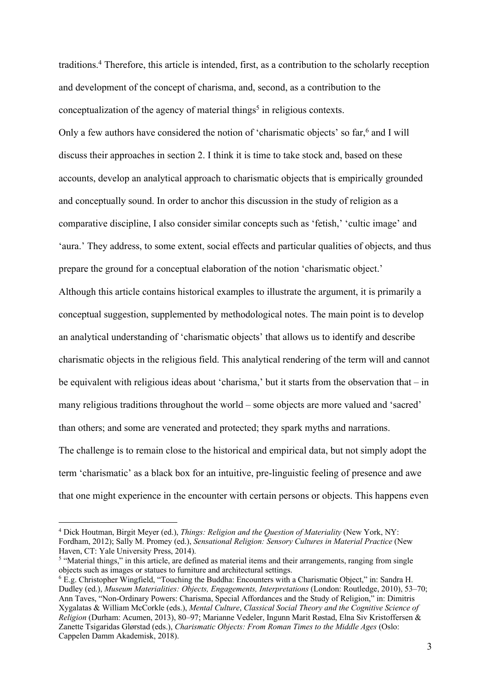traditions.4 Therefore, this article is intended, first, as a contribution to the scholarly reception and development of the concept of charisma, and, second, as a contribution to the conceptualization of the agency of material things<sup>5</sup> in religious contexts.

Only a few authors have considered the notion of 'charismatic objects' so far,<sup>6</sup> and I will discuss their approaches in section 2. I think it is time to take stock and, based on these accounts, develop an analytical approach to charismatic objects that is empirically grounded and conceptually sound. In order to anchor this discussion in the study of religion as a comparative discipline, I also consider similar concepts such as 'fetish,' 'cultic image' and 'aura.' They address, to some extent, social effects and particular qualities of objects, and thus prepare the ground for a conceptual elaboration of the notion 'charismatic object.'

Although this article contains historical examples to illustrate the argument, it is primarily a conceptual suggestion, supplemented by methodological notes. The main point is to develop an analytical understanding of 'charismatic objects' that allows us to identify and describe charismatic objects in the religious field. This analytical rendering of the term will and cannot be equivalent with religious ideas about 'charisma,' but it starts from the observation that – in many religious traditions throughout the world – some objects are more valued and 'sacred' than others; and some are venerated and protected; they spark myths and narrations. The challenge is to remain close to the historical and empirical data, but not simply adopt the term 'charismatic' as a black box for an intuitive, pre-linguistic feeling of presence and awe that one might experience in the encounter with certain persons or objects. This happens even

<sup>4</sup> Dick Houtman, Birgit Meyer (ed.), *Things: Religion and the Question of Materiality* (New York, NY: Fordham, 2012); Sally M. Promey (ed.), *Sensational Religion: Sensory Cultures in Material Practice* (New Haven, CT: Yale University Press, 2014).<br><sup>5</sup> "Material things," in this article, are defined as material items and their arrangements, ranging from single

objects such as images or statues to furniture and architectural settings.

<sup>&</sup>lt;sup>6</sup> E.g. Christopher Wingfield, "Touching the Buddha: Encounters with a Charismatic Object," in: Sandra H. Dudley (ed.), *Museum Materialities: Objects, Engagements, Interpretations* (London: Routledge, 2010), 53–70; Ann Taves, "Non‐Ordinary Powers: Charisma, Special Affordances and the Study of Religion," in: Dimitris Xygalatas & William McCorkle (eds.), *Mental Culture*, *Classical Social Theory and the Cognitive Science of Religion* (Durham: Acumen, 2013), 80–97; Marianne Vedeler, Ingunn Marit Røstad, Elna Siv Kristoffersen & Zanette Tsigaridas Glørstad (eds.), *Charismatic Objects: From Roman Times to the Middle Ages* (Oslo: Cappelen Damm Akademisk, 2018).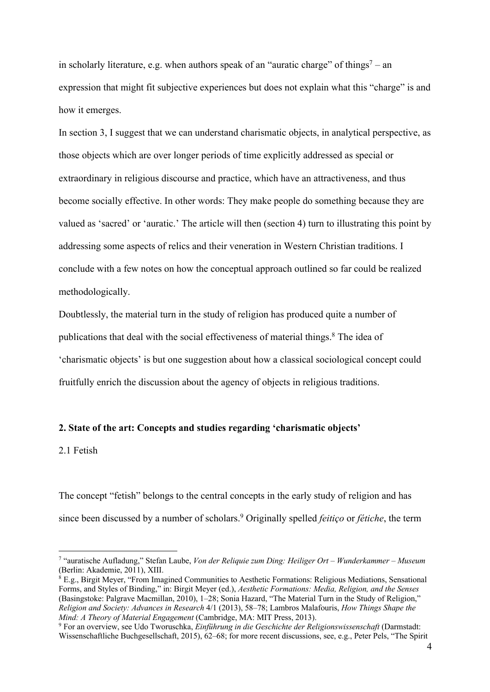in scholarly literature, e.g. when authors speak of an "auratic charge" of things<sup>7</sup> – an expression that might fit subjective experiences but does not explain what this "charge" is and how it emerges.

In section 3, I suggest that we can understand charismatic objects, in analytical perspective, as those objects which are over longer periods of time explicitly addressed as special or extraordinary in religious discourse and practice, which have an attractiveness, and thus become socially effective. In other words: They make people do something because they are valued as 'sacred' or 'auratic.' The article will then (section 4) turn to illustrating this point by addressing some aspects of relics and their veneration in Western Christian traditions. I conclude with a few notes on how the conceptual approach outlined so far could be realized methodologically.

Doubtlessly, the material turn in the study of religion has produced quite a number of publications that deal with the social effectiveness of material things.<sup>8</sup> The idea of 'charismatic objects' is but one suggestion about how a classical sociological concept could fruitfully enrich the discussion about the agency of objects in religious traditions.

# **2. State of the art: Concepts and studies regarding 'charismatic objects'**

2.1 Fetish

The concept "fetish" belongs to the central concepts in the early study of religion and has since been discussed by a number of scholars.9 Originally spelled *feitiço* or *fétiche*, the term

<sup>7</sup> "auratische Aufladung," Stefan Laube, *Von der Reliquie zum Ding: Heiliger Ort – Wunderkammer – Museum*  (Berlin: Akademie, 2011), XIII.

 $^8$  E.g., Birgit Meyer, "From Imagined Communities to Aesthetic Formations: Religious Mediations, Sensational Forms, and Styles of Binding," in: Birgit Meyer (ed.), *Aesthetic Formations: Media, Religion, and the Senses*  (Basingstoke: Palgrave Macmillan, 2010), 1–28; Sonia Hazard, "The Material Turn in the Study of Religion," *Religion and Society: Advances in Research* 4/1 (2013), 58–78; Lambros Malafouris, *How Things Shape the Mind: A Theory of Material Engagement* (Cambridge, MA: MIT Press, 2013).

<sup>9</sup> For an overview, see Udo Tworuschka, *Einführung in die Geschichte der Religionswissenschaft* (Darmstadt: Wissenschaftliche Buchgesellschaft, 2015), 62–68; for more recent discussions, see, e.g., Peter Pels, "The Spirit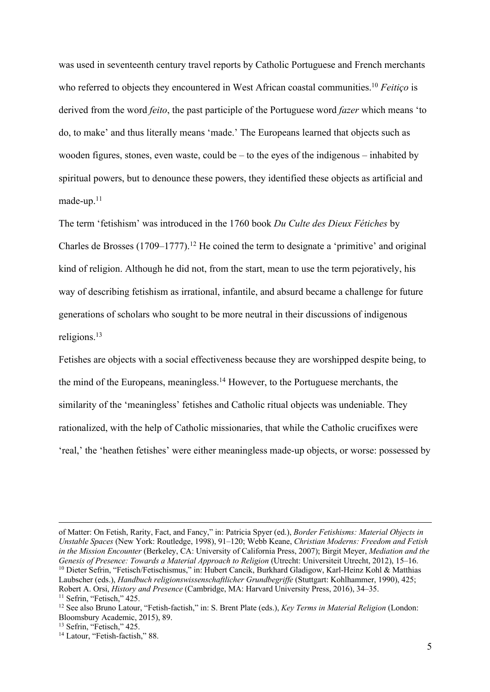was used in seventeenth century travel reports by Catholic Portuguese and French merchants who referred to objects they encountered in West African coastal communities.<sup>10</sup> *Feitico* is derived from the word *feito*, the past participle of the Portuguese word *fazer* which means 'to do, to make' and thus literally means 'made.' The Europeans learned that objects such as wooden figures, stones, even waste, could be – to the eyes of the indigenous – inhabited by spiritual powers, but to denounce these powers, they identified these objects as artificial and made-up. $11$ 

The term 'fetishism' was introduced in the 1760 book *Du Culte des Dieux Fétiches* by Charles de Brosses  $(1709-1777).$ <sup>12</sup> He coined the term to designate a 'primitive' and original kind of religion. Although he did not, from the start, mean to use the term pejoratively, his way of describing fetishism as irrational, infantile, and absurd became a challenge for future generations of scholars who sought to be more neutral in their discussions of indigenous religions.13

Fetishes are objects with a social effectiveness because they are worshipped despite being, to the mind of the Europeans, meaningless.14 However, to the Portuguese merchants, the similarity of the 'meaningless' fetishes and Catholic ritual objects was undeniable. They rationalized, with the help of Catholic missionaries, that while the Catholic crucifixes were 'real,' the 'heathen fetishes' were either meaningless made-up objects, or worse: possessed by

of Matter: On Fetish, Rarity, Fact, and Fancy," in: Patricia Spyer (ed.), *Border Fetishisms: Material Objects in Unstable Spaces* (New York: Routledge, 1998), 91–120; Webb Keane, *Christian Moderns: Freedom and Fetish in the Mission Encounter* (Berkeley, CA: University of California Press, 2007); Birgit Meyer, *Mediation and the Genesis of Presence: Towards a Material Approach to Religion* (Utrecht: Universiteit Utrecht, 2012), 15–16.<br><sup>10</sup> Dieter Sefrin, "Fetisch/Fetischismus," in: Hubert Cancik, Burkhard Gladigow, Karl-Heinz Kohl & Matthias Laubscher (eds.), *Handbuch religionswissenschaftlicher Grundbegriffe* (Stuttgart: Kohlhammer, 1990), 425; Robert A. Orsi, *History and Presence* (Cambridge, MA: Harvard University Press, 2016), 34–35.

<sup>&</sup>lt;sup>12</sup> See also Bruno Latour, "Fetish-factish," in: S. Brent Plate (eds.), *Key Terms in Material Religion* (London: Bloomsbury Academic. 2015). 89.

<sup>&</sup>lt;sup>13</sup> Sefrin, "Fetisch,"  $425$ .<br><sup>14</sup> Latour, "Fetish-factish," 88.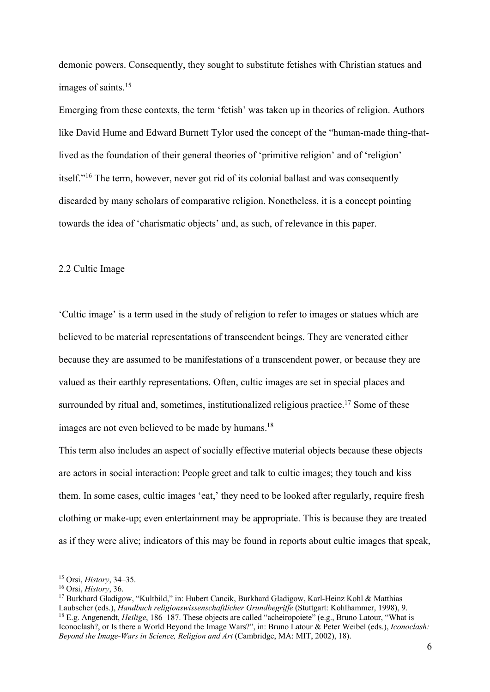demonic powers. Consequently, they sought to substitute fetishes with Christian statues and images of saints.15

Emerging from these contexts, the term 'fetish' was taken up in theories of religion. Authors like David Hume and Edward Burnett Tylor used the concept of the "human-made thing-thatlived as the foundation of their general theories of 'primitive religion' and of 'religion' itself."16 The term, however, never got rid of its colonial ballast and was consequently discarded by many scholars of comparative religion. Nonetheless, it is a concept pointing towards the idea of 'charismatic objects' and, as such, of relevance in this paper.

#### 2.2 Cultic Image

'Cultic image' is a term used in the study of religion to refer to images or statues which are believed to be material representations of transcendent beings. They are venerated either because they are assumed to be manifestations of a transcendent power, or because they are valued as their earthly representations. Often, cultic images are set in special places and surrounded by ritual and, sometimes, institutionalized religious practice.<sup>17</sup> Some of these images are not even believed to be made by humans.<sup>18</sup>

This term also includes an aspect of socially effective material objects because these objects are actors in social interaction: People greet and talk to cultic images; they touch and kiss them. In some cases, cultic images 'eat,' they need to be looked after regularly, require fresh clothing or make-up; even entertainment may be appropriate. This is because they are treated as if they were alive; indicators of this may be found in reports about cultic images that speak,

<sup>15</sup> Orsi, *History*, 34–35.<br><sup>16</sup> Orsi, *History*, 36.<br><sup>17</sup> Burkhard Gladigow, "Kultbild," in: Hubert Cancik, Burkhard Gladigow, Karl-Heinz Kohl & Matthias<br>Laubscher (eds.), *Handbuch religionswissenschaftlicher Grundbegri* <sup>18</sup> E.g. Angenendt, *Heilige*, 186–187. These objects are called "acheiropoiete" (e.g., Bruno Latour, "What is Iconoclash?, or Is there a World Beyond the Image Wars?", in: Bruno Latour & Peter Weibel (eds.), *Iconoclash: Beyond the Image-Wars in Science, Religion and Art* (Cambridge, MA: MIT, 2002), 18).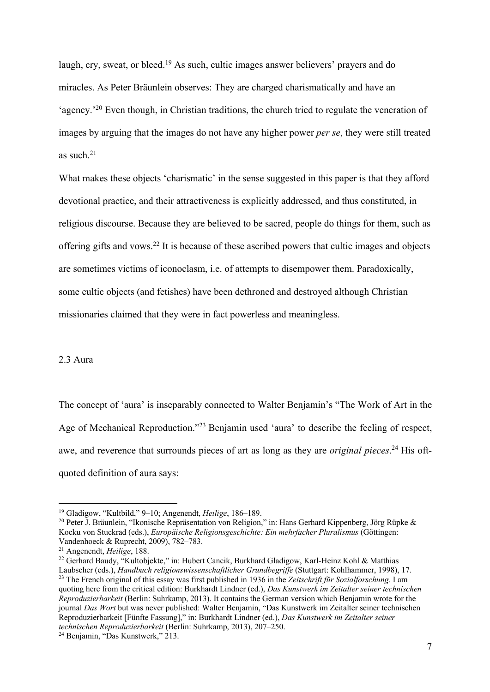laugh, cry, sweat, or bleed.<sup>19</sup> As such, cultic images answer believers' prayers and do miracles. As Peter Bräunlein observes: They are charged charismatically and have an 'agency.'20 Even though, in Christian traditions, the church tried to regulate the veneration of images by arguing that the images do not have any higher power *per se*, they were still treated as such. $21$ 

What makes these objects 'charismatic' in the sense suggested in this paper is that they afford devotional practice, and their attractiveness is explicitly addressed, and thus constituted, in religious discourse. Because they are believed to be sacred, people do things for them, such as offering gifts and vows.22 It is because of these ascribed powers that cultic images and objects are sometimes victims of iconoclasm, i.e. of attempts to disempower them. Paradoxically, some cultic objects (and fetishes) have been dethroned and destroyed although Christian missionaries claimed that they were in fact powerless and meaningless.

### 2.3 Aura

The concept of 'aura' is inseparably connected to Walter Benjamin's "The Work of Art in the Age of Mechanical Reproduction."23 Benjamin used 'aura' to describe the feeling of respect, awe, and reverence that surrounds pieces of art as long as they are *original pieces*. 24 His oftquoted definition of aura says:

<sup>&</sup>lt;sup>19</sup> Gladigow, "Kultbild," 9–10; Angenendt, *Heilige*, 186–189.<br><sup>20</sup> Peter J. Bräunlein, "Ikonische Repräsentation von Religion," in: Hans Gerhard Kippenberg, Jörg Rüpke & Kocku von Stuckrad (eds.), *Europäische Religionsgeschichte: Ein mehrfacher Pluralismus* (Göttingen: Vandenhoeck & Ruprecht, 2009), 782–783. 21 Angenendt, *Heilige*, 188.

<sup>22</sup> Gerhard Baudy, "Kultobjekte," in: Hubert Cancik, Burkhard Gladigow, Karl-Heinz Kohl & Matthias

Laubscher (eds.), *Handbuch religionswissenschaftlicher Grundbegriffe* (Stuttgart: Kohlhammer, 1998), 17.<br><sup>23</sup> The French original of this essay was first published in 1936 in the Zeitschrift für Sozialforschung. I am quoting here from the critical edition: Burkhardt Lindner (ed.), *Das Kunstwerk im Zeitalter seiner technischen Reproduzierbarkeit* (Berlin: Suhrkamp, 2013). It contains the German version which Benjamin wrote for the journal *Das Wort* but was never published: Walter Benjamin, "Das Kunstwerk im Zeitalter seiner technischen Reproduzierbarkeit [Fünfte Fassung]," in: Burkhardt Lindner (ed.), *Das Kunstwerk im Zeitalter seiner technischen Reproduzierbarkeit* (Berlin: Suhrkamp, 2013), 207–250. 24 Benjamin, "Das Kunstwerk," 213.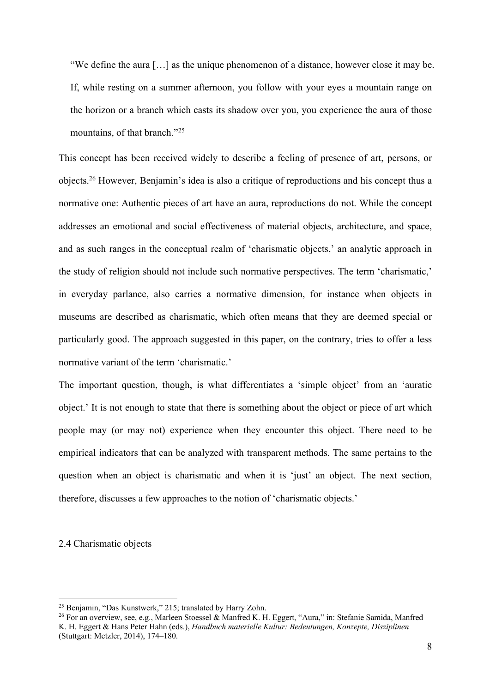"We define the aura […] as the unique phenomenon of a distance, however close it may be. If, while resting on a summer afternoon, you follow with your eyes a mountain range on the horizon or a branch which casts its shadow over you, you experience the aura of those mountains, of that branch."<sup>25</sup>

This concept has been received widely to describe a feeling of presence of art, persons, or objects.26 However, Benjamin's idea is also a critique of reproductions and his concept thus a normative one: Authentic pieces of art have an aura, reproductions do not. While the concept addresses an emotional and social effectiveness of material objects, architecture, and space, and as such ranges in the conceptual realm of 'charismatic objects,' an analytic approach in the study of religion should not include such normative perspectives. The term 'charismatic,' in everyday parlance, also carries a normative dimension, for instance when objects in museums are described as charismatic, which often means that they are deemed special or particularly good. The approach suggested in this paper, on the contrary, tries to offer a less normative variant of the term 'charismatic.'

The important question, though, is what differentiates a 'simple object' from an 'auratic object.' It is not enough to state that there is something about the object or piece of art which people may (or may not) experience when they encounter this object. There need to be empirical indicators that can be analyzed with transparent methods. The same pertains to the question when an object is charismatic and when it is 'just' an object. The next section, therefore, discusses a few approaches to the notion of 'charismatic objects.'

2.4 Charismatic objects

<sup>25</sup> Benjamin, "Das Kunstwerk," 215; translated by Harry Zohn.

<sup>26</sup> For an overview, see, e.g., Marleen Stoessel & Manfred K. H. Eggert, "Aura," in: Stefanie Samida, Manfred K. H. Eggert & Hans Peter Hahn (eds.), *Handbuch materielle Kultur: Bedeutungen, Konzepte, Disziplinen*  (Stuttgart: Metzler, 2014), 174–180.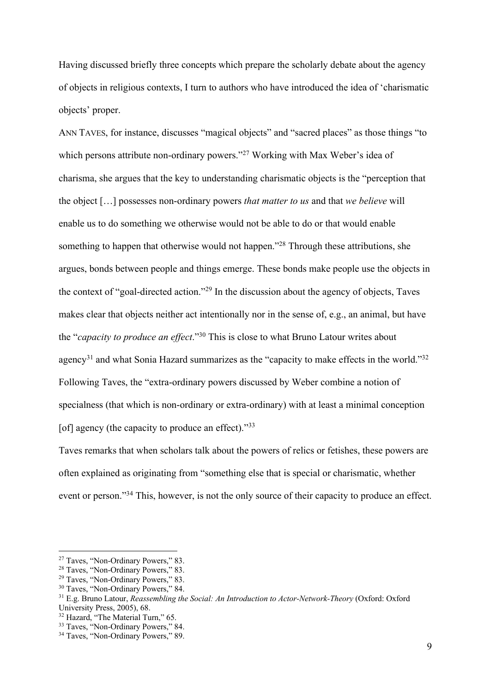Having discussed briefly three concepts which prepare the scholarly debate about the agency of objects in religious contexts, I turn to authors who have introduced the idea of 'charismatic objects' proper.

ANN TAVES, for instance, discusses "magical objects" and "sacred places" as those things "to which persons attribute non-ordinary powers."<sup>27</sup> Working with Max Weber's idea of charisma, she argues that the key to understanding charismatic objects is the "perception that the object […] possesses non-ordinary powers *that matter to us* and that *we believe* will enable us to do something we otherwise would not be able to do or that would enable something to happen that otherwise would not happen."<sup>28</sup> Through these attributions, she argues, bonds between people and things emerge. These bonds make people use the objects in the context of "goal-directed action."29 In the discussion about the agency of objects, Taves makes clear that objects neither act intentionally nor in the sense of, e.g., an animal, but have the "*capacity to produce an effect*."30 This is close to what Bruno Latour writes about agency<sup>31</sup> and what Sonia Hazard summarizes as the "capacity to make effects in the world."<sup>32</sup> Following Taves, the "extra-ordinary powers discussed by Weber combine a notion of specialness (that which is non-ordinary or extra-ordinary) with at least a minimal conception [of] agency (the capacity to produce an effect). $\frac{333}{2}$ 

Taves remarks that when scholars talk about the powers of relics or fetishes, these powers are often explained as originating from "something else that is special or charismatic, whether event or person."34 This, however, is not the only source of their capacity to produce an effect.

<sup>&</sup>lt;sup>27</sup> Taves, "Non-Ordinary Powers," 83.<br>
<sup>28</sup> Taves, "Non-Ordinary Powers," 83.<br>
<sup>29</sup> Taves, "Non-Ordinary Powers," 83.<br>
<sup>30</sup> Taves, "Non-Ordinary Powers," 84.<br>
<sup>31</sup> E.g. Bruno Latour, *Reassembling the Social: An Introduc* 

<sup>&</sup>lt;sup>32</sup> Hazard, "The Material Turn," 65.<br><sup>33</sup> Taves, "Non-Ordinary Powers," 84.<br><sup>34</sup> Taves, "Non-Ordinary Powers," 89.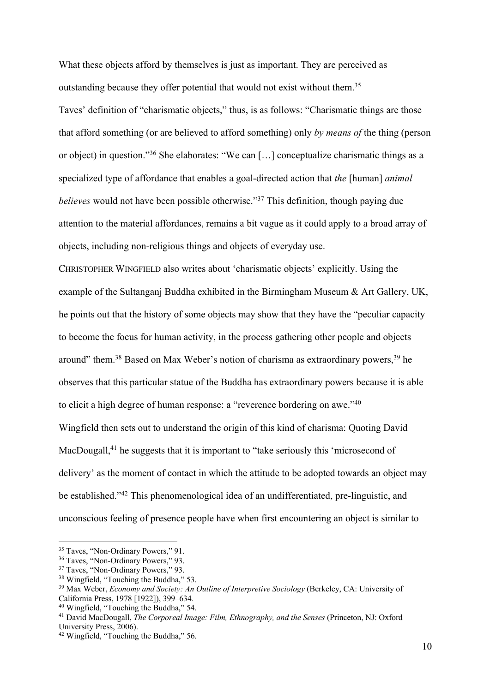What these objects afford by themselves is just as important. They are perceived as outstanding because they offer potential that would not exist without them.35 Taves' definition of "charismatic objects," thus, is as follows: "Charismatic things are those that afford something (or are believed to afford something) only *by means of* the thing (person or object) in question."36 She elaborates: "We can […] conceptualize charismatic things as a specialized type of affordance that enables a goal-directed action that *the* [human] *animal believes* would not have been possible otherwise."<sup>37</sup> This definition, though paying due attention to the material affordances, remains a bit vague as it could apply to a broad array of objects, including non-religious things and objects of everyday use.

CHRISTOPHER WINGFIELD also writes about 'charismatic objects' explicitly. Using the example of the Sultanganj Buddha exhibited in the Birmingham Museum & Art Gallery, UK, he points out that the history of some objects may show that they have the "peculiar capacity to become the focus for human activity, in the process gathering other people and objects around" them.<sup>38</sup> Based on Max Weber's notion of charisma as extraordinary powers.<sup>39</sup> he observes that this particular statue of the Buddha has extraordinary powers because it is able to elicit a high degree of human response: a "reverence bordering on awe."40 Wingfield then sets out to understand the origin of this kind of charisma: Quoting David MacDougall,<sup>41</sup> he suggests that it is important to "take seriously this 'microsecond of delivery' as the moment of contact in which the attitude to be adopted towards an object may be established."42 This phenomenological idea of an undifferentiated, pre-linguistic, and unconscious feeling of presence people have when first encountering an object is similar to

<sup>&</sup>lt;sup>35</sup> Taves, "Non-Ordinary Powers," 91.<br><sup>36</sup> Taves, "Non-Ordinary Powers," 93.<br><sup>37</sup> Taves, "Non-Ordinary Powers," 93.<br><sup>38</sup> Wingfield, "Touching the Buddha," 53.

<sup>&</sup>lt;sup>39</sup> Max Weber, *Economy and Society: An Outline of Interpretive Sociology* (Berkeley, CA: University of California Press, 1978 [1922]), 399–634. 40 Wingfield, "Touching the Buddha," 54. 41 David MacDougall, *The Corporeal Image: Film, Ethnography, and the Senses* (Princeton, NJ: Oxford

University Press, 2006).

<sup>42</sup> Wingfield, "Touching the Buddha," 56.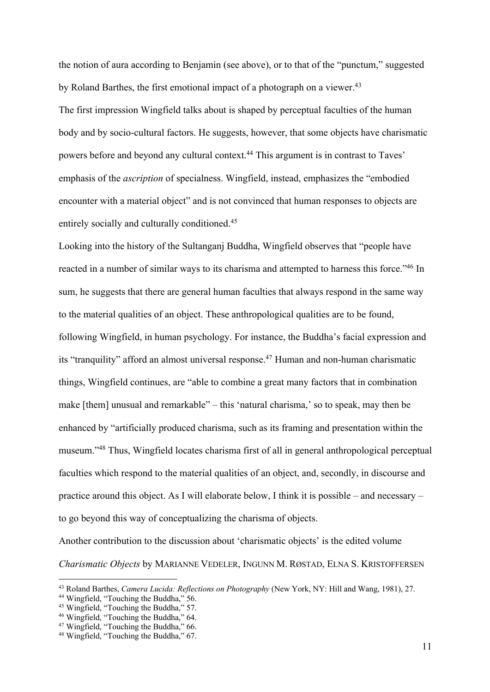the notion of aura according to Benjamin (see above), or to that of the "punctum," suggested by Roland Barthes, the first emotional impact of a photograph on a viewer.<sup>43</sup>

The first impression Wingfield talks about is shaped by perceptual faculties of the human body and by socio-cultural factors. He suggests, however, that some objects have charismatic powers before and beyond any cultural context.44 This argument is in contrast to Taves' emphasis of the *ascription* of specialness. Wingfield, instead, emphasizes the "embodied encounter with a material object" and is not convinced that human responses to objects are entirely socially and culturally conditioned.<sup>45</sup>

Looking into the history of the Sultanganj Buddha, Wingfield observes that "people have reacted in a number of similar ways to its charisma and attempted to harness this force."<sup>46</sup> In sum, he suggests that there are general human faculties that always respond in the same way to the material qualities of an object. These anthropological qualities are to be found, following Wingfield, in human psychology. For instance, the Buddha's facial expression and its "tranquility" afford an almost universal response.<sup>47</sup> Human and non-human charismatic things, Wingfield continues, are "able to combine a great many factors that in combination make [them] unusual and remarkable" – this 'natural charisma,' so to speak, may then be enhanced by "artificially produced charisma, such as its framing and presentation within the museum."48 Thus, Wingfield locates charisma first of all in general anthropological perceptual faculties which respond to the material qualities of an object, and, secondly, in discourse and practice around this object. As I will elaborate below, I think it is possible – and necessary – to go beyond this way of conceptualizing the charisma of objects.

Another contribution to the discussion about 'charismatic objects' is the edited volume *Charismatic Objects* by MARIANNE VEDELER, INGUNN M. RØSTAD, ELNA S. KRISTOFFERSEN

<sup>&</sup>lt;sup>43</sup> Roland Barthes, *Camera Lucida: Reflections on Photography* (New York, NY: Hill and Wang, 1981), 27.<br><sup>44</sup> Wingfield, "Touching the Buddha," 56.<br><sup>45</sup> Wingfield, "Touching the Buddha," 57.<br><sup>46</sup> Wingfield, "Touching the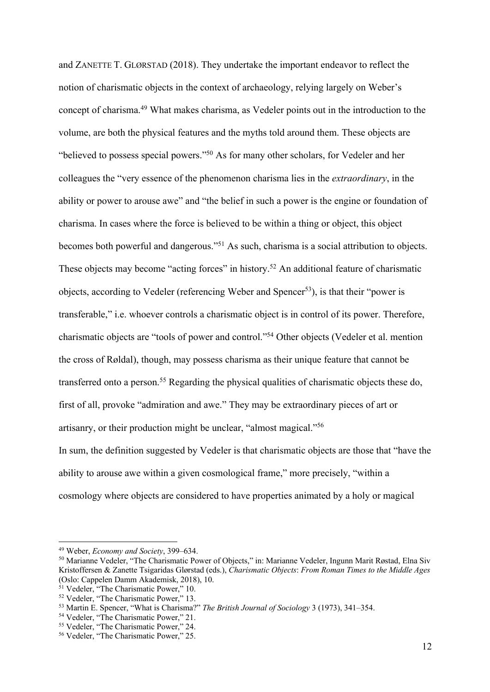and ZANETTE T. GLØRSTAD (2018). They undertake the important endeavor to reflect the notion of charismatic objects in the context of archaeology, relying largely on Weber's concept of charisma.49 What makes charisma, as Vedeler points out in the introduction to the volume, are both the physical features and the myths told around them. These objects are "believed to possess special powers."50 As for many other scholars, for Vedeler and her colleagues the "very essence of the phenomenon charisma lies in the *extraordinary*, in the ability or power to arouse awe" and "the belief in such a power is the engine or foundation of charisma. In cases where the force is believed to be within a thing or object, this object becomes both powerful and dangerous."51 As such, charisma is a social attribution to objects. These objects may become "acting forces" in history.<sup>52</sup> An additional feature of charismatic objects, according to Vedeler (referencing Weber and Spencer<sup>53</sup>), is that their "power is transferable," i.e. whoever controls a charismatic object is in control of its power. Therefore, charismatic objects are "tools of power and control."54 Other objects (Vedeler et al. mention the cross of Røldal), though, may possess charisma as their unique feature that cannot be transferred onto a person.<sup>55</sup> Regarding the physical qualities of charismatic objects these do, first of all, provoke "admiration and awe." They may be extraordinary pieces of art or artisanry, or their production might be unclear, "almost magical."56 In sum, the definition suggested by Vedeler is that charismatic objects are those that "have the ability to arouse awe within a given cosmological frame," more precisely, "within a

cosmology where objects are considered to have properties animated by a holy or magical

<sup>&</sup>lt;sup>49</sup> Weber, *Economy and Society*, 399–634.<br><sup>50</sup> Marianne Vedeler, "The Charismatic Power of Objects," in: Marianne Vedeler, Ingunn Marit Røstad, Elna Siv Kristoffersen & Zanette Tsigaridas Glørstad (eds.), *Charismatic Objects*: *From Roman Times to the Middle Ages*  (Oslo: Cappelen Damm Akademisk, 2018), 10.

 $51$  Vedeler, "The Charismatic Power," 10.<br> $52$  Vedeler, "The Charismatic Power," 13.

<sup>&</sup>lt;sup>53</sup> Martin E. Spencer, "What is Charisma?" *The British Journal of Sociology* 3 (1973), 341–354.<br><sup>54</sup> Vedeler, "The Charismatic Power," 21.

<sup>54</sup> Vedeler, "The Charismatic Power," 21. 55 Vedeler, "The Charismatic Power," 24. 56 Vedeler, "The Charismatic Power," 25.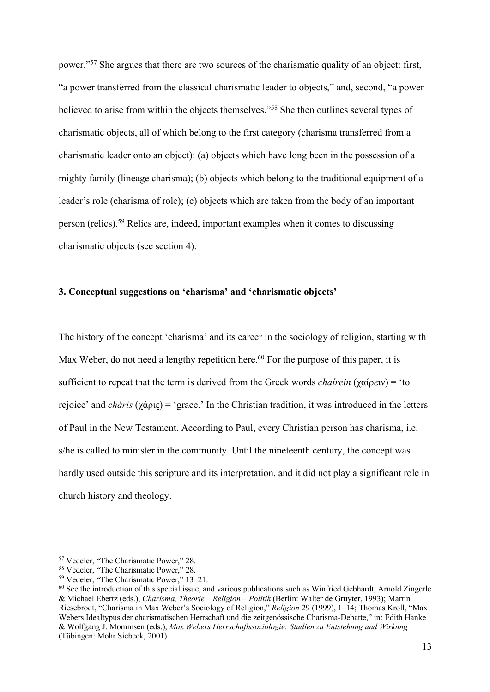power."57 She argues that there are two sources of the charismatic quality of an object: first, "a power transferred from the classical charismatic leader to objects," and, second, "a power believed to arise from within the objects themselves."58 She then outlines several types of charismatic objects, all of which belong to the first category (charisma transferred from a charismatic leader onto an object): (a) objects which have long been in the possession of a mighty family (lineage charisma); (b) objects which belong to the traditional equipment of a leader's role (charisma of role); (c) objects which are taken from the body of an important person (relics).59 Relics are, indeed, important examples when it comes to discussing charismatic objects (see section 4).

## **3. Conceptual suggestions on 'charisma' and 'charismatic objects'**

The history of the concept 'charisma' and its career in the sociology of religion, starting with Max Weber, do not need a lengthy repetition here.<sup>60</sup> For the purpose of this paper, it is sufficient to repeat that the term is derived from the Greek words *chaírein* (χαίρειν) = 'to rejoice' and *cháris* (χάρις) = 'grace.' In the Christian tradition, it was introduced in the letters of Paul in the New Testament. According to Paul, every Christian person has charisma, i.e. s/he is called to minister in the community. Until the nineteenth century, the concept was hardly used outside this scripture and its interpretation, and it did not play a significant role in church history and theology.

<sup>57</sup> Vedeler, "The Charismatic Power," 28. 58 Vedeler, "The Charismatic Power," 28.

<sup>59</sup> Vedeler, "The Charismatic Power," 13–21.

<sup>&</sup>lt;sup>60</sup> See the introduction of this special issue, and various publications such as Winfried Gebhardt, Arnold Zingerle & Michael Ebertz (eds.), *Charisma, Theorie – Religion – Politik* (Berlin: Walter de Gruyter, 1993); Martin Riesebrodt, "Charisma in Max Weber's Sociology of Religion," *Religion* 29 (1999), 1–14; Thomas Kroll, "Max Webers Idealtypus der charismatischen Herrschaft und die zeitgenössische Charisma-Debatte," in: Edith Hanke & Wolfgang J. Mommsen (eds.), *Max Webers Herrschaftssoziologie: Studien zu Entstehung und Wirkung*  (Tübingen: Mohr Siebeck, 2001).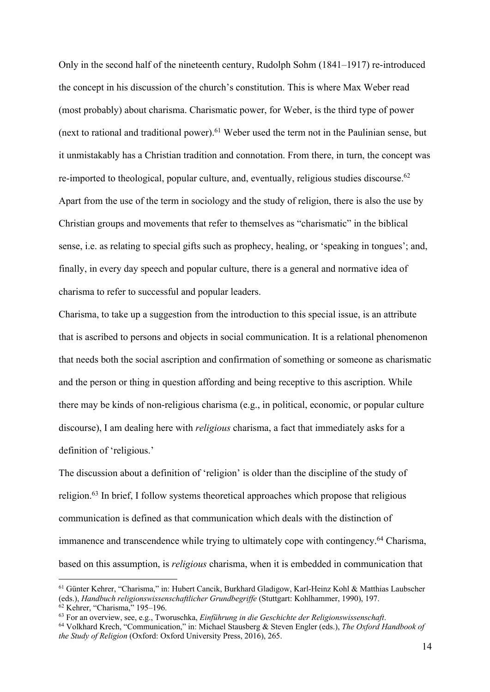Only in the second half of the nineteenth century, Rudolph Sohm (1841–1917) re-introduced the concept in his discussion of the church's constitution. This is where Max Weber read (most probably) about charisma. Charismatic power, for Weber, is the third type of power (next to rational and traditional power).<sup>61</sup> Weber used the term not in the Paulinian sense, but it unmistakably has a Christian tradition and connotation. From there, in turn, the concept was re-imported to theological, popular culture, and, eventually, religious studies discourse.<sup>62</sup> Apart from the use of the term in sociology and the study of religion, there is also the use by Christian groups and movements that refer to themselves as "charismatic" in the biblical sense, i.e. as relating to special gifts such as prophecy, healing, or 'speaking in tongues'; and, finally, in every day speech and popular culture, there is a general and normative idea of charisma to refer to successful and popular leaders.

Charisma, to take up a suggestion from the introduction to this special issue, is an attribute that is ascribed to persons and objects in social communication. It is a relational phenomenon that needs both the social ascription and confirmation of something or someone as charismatic and the person or thing in question affording and being receptive to this ascription. While there may be kinds of non-religious charisma (e.g., in political, economic, or popular culture discourse), I am dealing here with *religious* charisma, a fact that immediately asks for a definition of 'religious.'

The discussion about a definition of 'religion' is older than the discipline of the study of religion.63 In brief, I follow systems theoretical approaches which propose that religious communication is defined as that communication which deals with the distinction of immanence and transcendence while trying to ultimately cope with contingency.64 Charisma, based on this assumption, is *religious* charisma, when it is embedded in communication that

<sup>61</sup> Günter Kehrer, "Charisma," in: Hubert Cancik, Burkhard Gladigow, Karl-Heinz Kohl & Matthias Laubscher (eds.), *Handbuch religionswissenschaftlicher Grundbegriffe* (Stuttgart: Kohlhammer, 1990), 197.<br><sup>62</sup> Kehrer, "Charisma," 195–196.<br><sup>63</sup> For an overview, see, e.g., Tworuschka, *Einführung in die Geschichte der Religionswis* 

*the Study of Religion* (Oxford: Oxford University Press, 2016), 265.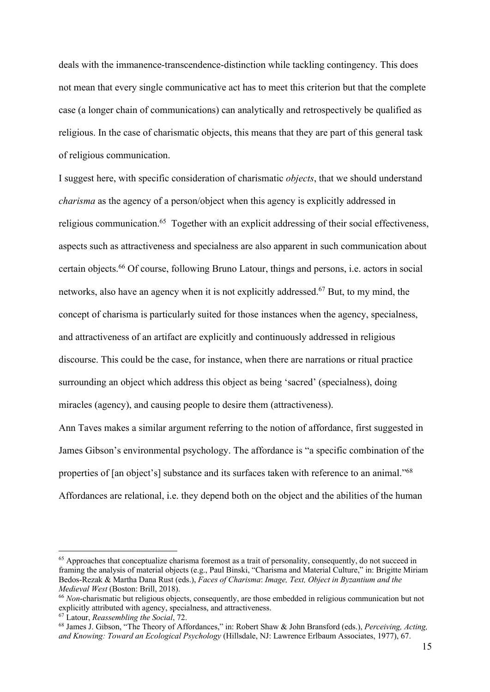deals with the immanence-transcendence-distinction while tackling contingency. This does not mean that every single communicative act has to meet this criterion but that the complete case (a longer chain of communications) can analytically and retrospectively be qualified as religious. In the case of charismatic objects, this means that they are part of this general task of religious communication.

I suggest here, with specific consideration of charismatic *objects*, that we should understand *charisma* as the agency of a person/object when this agency is explicitly addressed in religious communication.<sup>65</sup> Together with an explicit addressing of their social effectiveness, aspects such as attractiveness and specialness are also apparent in such communication about certain objects.66 Of course, following Bruno Latour, things and persons, i.e. actors in social networks, also have an agency when it is not explicitly addressed.<sup>67</sup> But, to my mind, the concept of charisma is particularly suited for those instances when the agency, specialness, and attractiveness of an artifact are explicitly and continuously addressed in religious discourse. This could be the case, for instance, when there are narrations or ritual practice surrounding an object which address this object as being 'sacred' (specialness), doing miracles (agency), and causing people to desire them (attractiveness).

Ann Taves makes a similar argument referring to the notion of affordance, first suggested in James Gibson's environmental psychology. The affordance is "a specific combination of the properties of [an object's] substance and its surfaces taken with reference to an animal."68 Affordances are relational, i.e. they depend both on the object and the abilities of the human

<sup>&</sup>lt;sup>65</sup> Approaches that conceptualize charisma foremost as a trait of personality, consequently, do not succeed in framing the analysis of material objects (e.g., Paul Binski, "Charisma and Material Culture," in: Brigitte Miriam Bedos-Rezak & Martha Dana Rust (eds.), *Faces of Charisma*: *Image, Text, Object in Byzantium and the Medieval West* (Boston: Brill, 2018).

<sup>66</sup> *Non*-charismatic but religious objects, consequently, are those embedded in religious communication but not explicitly attributed with agency, specialness, and attractiveness.<br><sup>67</sup> Latour, *Reassembling the Social*, 72.

<sup>&</sup>lt;sup>68</sup> James J. Gibson, "The Theory of Affordances," in: Robert Shaw & John Bransford (eds.), *Perceiving, Acting, and Knowing: Toward an Ecological Psychology* (Hillsdale, NJ: Lawrence Erlbaum Associates, 1977), 67.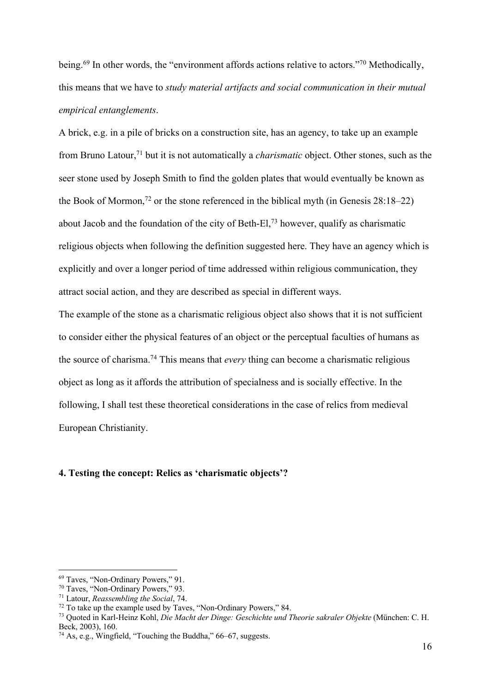being.<sup>69</sup> In other words, the "environment affords actions relative to actors."<sup>70</sup> Methodically, this means that we have to *study material artifacts and social communication in their mutual empirical entanglements*.

A brick, e.g. in a pile of bricks on a construction site, has an agency, to take up an example from Bruno Latour,71 but it is not automatically a *charismatic* object. Other stones, such as the seer stone used by Joseph Smith to find the golden plates that would eventually be known as the Book of Mormon,<sup>72</sup> or the stone referenced in the biblical myth (in Genesis  $28:18-22$ ) about Jacob and the foundation of the city of Beth-El,<sup>73</sup> however, qualify as charismatic religious objects when following the definition suggested here. They have an agency which is explicitly and over a longer period of time addressed within religious communication, they attract social action, and they are described as special in different ways.

The example of the stone as a charismatic religious object also shows that it is not sufficient to consider either the physical features of an object or the perceptual faculties of humans as the source of charisma.74 This means that *every* thing can become a charismatic religious object as long as it affords the attribution of specialness and is socially effective. In the following, I shall test these theoretical considerations in the case of relics from medieval European Christianity.

## **4. Testing the concept: Relics as 'charismatic objects'?**

<sup>&</sup>lt;sup>69</sup> Taves, "Non-Ordinary Powers," 91.<br><sup>70</sup> Taves, "Non-Ordinary Powers," 93.<br><sup>71</sup> Latour, *Reassembling the Social*, 74.<br><sup>72</sup> To take up the example used by Taves, "Non-Ordinary Powers," 84.<br><sup>73</sup> Ouoted in Karl-Heinz Koh Beck, 2003), 160.  $^{74}$  As, e.g., Wingfield, "Touching the Buddha," 66–67, suggests.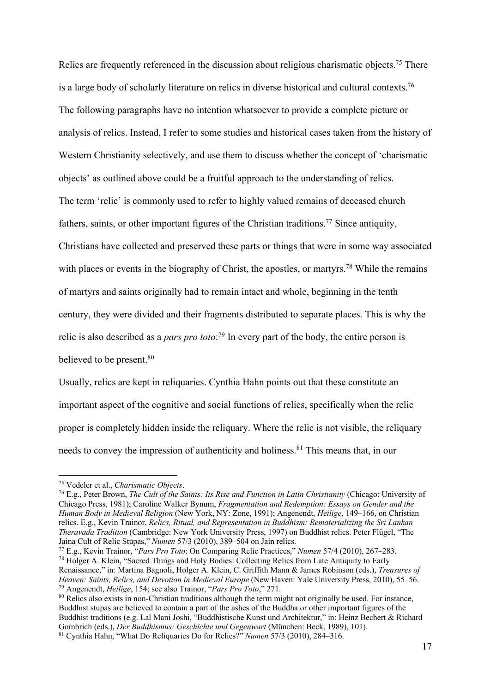Relics are frequently referenced in the discussion about religious charismatic objects.<sup>75</sup> There is a large body of scholarly literature on relics in diverse historical and cultural contexts.<sup>76</sup> The following paragraphs have no intention whatsoever to provide a complete picture or analysis of relics. Instead, I refer to some studies and historical cases taken from the history of Western Christianity selectively, and use them to discuss whether the concept of 'charismatic objects' as outlined above could be a fruitful approach to the understanding of relics. The term 'relic' is commonly used to refer to highly valued remains of deceased church fathers, saints, or other important figures of the Christian traditions.<sup>77</sup> Since antiquity, Christians have collected and preserved these parts or things that were in some way associated with places or events in the biography of Christ, the apostles, or martyrs.<sup>78</sup> While the remains of martyrs and saints originally had to remain intact and whole, beginning in the tenth century, they were divided and their fragments distributed to separate places. This is why the relic is also described as a *pars pro toto*: 79 In every part of the body, the entire person is believed to be present.<sup>80</sup>

Usually, relics are kept in reliquaries. Cynthia Hahn points out that these constitute an important aspect of the cognitive and social functions of relics, specifically when the relic proper is completely hidden inside the reliquary. Where the relic is not visible, the reliquary needs to convey the impression of authenticity and holiness.<sup>81</sup> This means that, in our

77 E.g., Kevin Trainor, "*Pars Pro Toto*: On Comparing Relic Practices," *Numen* 57/4 (2010), 267–283. 78 Holger A. Klein, "Sacred Things and Holy Bodies: Collecting Relics from Late Antiquity to Early

<sup>75</sup> Vedeler et al., *Charismatic Objects*. 76 E.g., Peter Brown, *The Cult of the Saints: Its Rise and Function in Latin Christianity* (Chicago: University of Chicago Press, 1981); Caroline Walker Bynum, *Fragmentation and Redemption: Essays on Gender and the Human Body in Medieval Religion* (New York, NY: Zone, 1991); Angenendt, *Heilige*, 149–166, on Christian relics. E.g., Kevin Trainor, *Relics, Ritual, and Representation in Buddhism: Rematerializing the Sri Lankan Theravada Tradition* (Cambridge: New York University Press, 1997) on Buddhist relics. Peter Flügel, "The Jaina Cult of Relic Stūpas," *Numen* 57/3 (2010), 389–504 on Jain relics.

Renaissance," in: Martina Bagnoli, Holger A. Klein, C. Griffith Mann & James Robinson (eds.), *Treasures of* 

<sup>&</sup>lt;sup>79</sup> Angenendt, *Heilige*, 154; see also Trainor, "*Pars Pro Toto*," 271.<br><sup>80</sup> Relics also exists in non-Christian traditions although the term might not originally be used. For instance, Buddhist stupas are believed to contain a part of the ashes of the Buddha or other important figures of the Buddhist traditions (e.g. Lal Mani Joshi, "Buddhistische Kunst und Architektur," in: Heinz Bechert & Richard Gombrich (eds.), *Der Buddhismus: Geschichte und Gegenwart* (München: Beck, 1989), 101). 81 Cynthia Hahn, "What Do Reliquaries Do for Relics?" *Numen* 57/3 (2010), 284–316.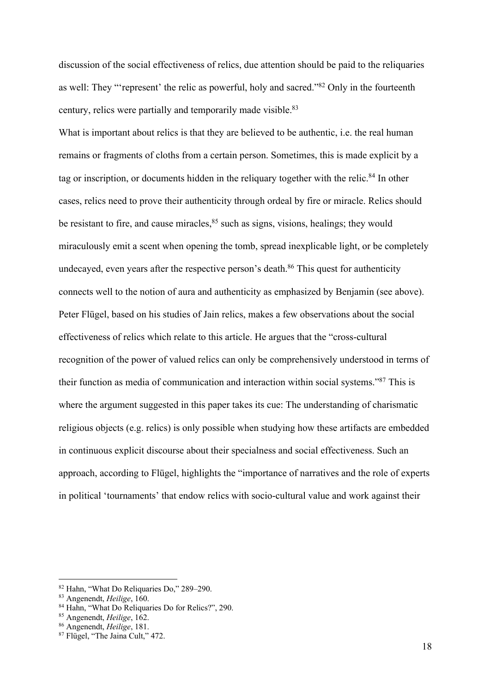discussion of the social effectiveness of relics, due attention should be paid to the reliquaries as well: They "'represent' the relic as powerful, holy and sacred."82 Only in the fourteenth century, relics were partially and temporarily made visible.<sup>83</sup>

What is important about relics is that they are believed to be authentic, i.e. the real human remains or fragments of cloths from a certain person. Sometimes, this is made explicit by a tag or inscription, or documents hidden in the reliquary together with the relic.<sup>84</sup> In other cases, relics need to prove their authenticity through ordeal by fire or miracle. Relics should be resistant to fire, and cause miracles, 85 such as signs, visions, healings; they would miraculously emit a scent when opening the tomb, spread inexplicable light, or be completely undecayed, even years after the respective person's death.<sup>86</sup> This quest for authenticity connects well to the notion of aura and authenticity as emphasized by Benjamin (see above). Peter Flügel, based on his studies of Jain relics, makes a few observations about the social effectiveness of relics which relate to this article. He argues that the "cross-cultural recognition of the power of valued relics can only be comprehensively understood in terms of their function as media of communication and interaction within social systems."87 This is where the argument suggested in this paper takes its cue: The understanding of charismatic religious objects (e.g. relics) is only possible when studying how these artifacts are embedded in continuous explicit discourse about their specialness and social effectiveness. Such an approach, according to Flügel, highlights the "importance of narratives and the role of experts in political 'tournaments' that endow relics with socio-cultural value and work against their

<sup>&</sup>lt;sup>82</sup> Hahn, "What Do Reliquaries Do," 289–290.<br><sup>83</sup> Angenendt, *Heilige*, 160.

<sup>&</sup>lt;sup>84</sup> Hahn, "What Do Reliquaries Do for Relics?", 290.<br><sup>85</sup> Angenendt, *Heilige*, 162.<br><sup>86</sup> Angenendt, *Heilige*, 181.

<sup>87</sup> Flügel, "The Jaina Cult," 472.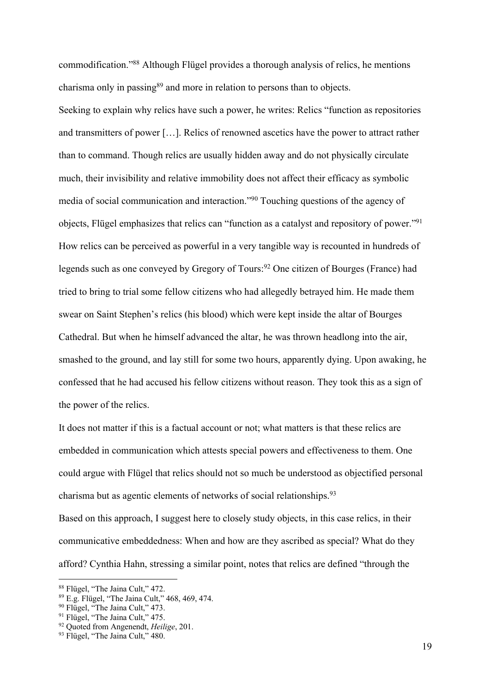commodification."88 Although Flügel provides a thorough analysis of relics, he mentions charisma only in passing<sup>89</sup> and more in relation to persons than to objects.

Seeking to explain why relics have such a power, he writes: Relics "function as repositories and transmitters of power […]. Relics of renowned ascetics have the power to attract rather than to command. Though relics are usually hidden away and do not physically circulate much, their invisibility and relative immobility does not affect their efficacy as symbolic media of social communication and interaction."90 Touching questions of the agency of objects, Flügel emphasizes that relics can "function as a catalyst and repository of power."91 How relics can be perceived as powerful in a very tangible way is recounted in hundreds of legends such as one conveyed by Gregory of Tours:<sup>92</sup> One citizen of Bourges (France) had tried to bring to trial some fellow citizens who had allegedly betrayed him. He made them swear on Saint Stephen's relics (his blood) which were kept inside the altar of Bourges Cathedral. But when he himself advanced the altar, he was thrown headlong into the air, smashed to the ground, and lay still for some two hours, apparently dying. Upon awaking, he confessed that he had accused his fellow citizens without reason. They took this as a sign of the power of the relics.

It does not matter if this is a factual account or not; what matters is that these relics are embedded in communication which attests special powers and effectiveness to them. One could argue with Flügel that relics should not so much be understood as objectified personal charisma but as agentic elements of networks of social relationships.93

Based on this approach, I suggest here to closely study objects, in this case relics, in their communicative embeddedness: When and how are they ascribed as special? What do they afford? Cynthia Hahn, stressing a similar point, notes that relics are defined "through the

<sup>&</sup>lt;sup>88</sup> Flügel, "The Jaina Cult,"  $472$ .<br><sup>89</sup> E.g. Flügel, "The Jaina Cult,"  $468$ ,  $469$ ,  $474$ .

<sup>&</sup>lt;sup>90</sup> Flügel, "The Jaina Cult," 473.<br><sup>91</sup> Flügel, "The Jaina Cult," 475.<br><sup>92</sup> Ouoted from Angenendt, *Heilige*, 201.

<sup>&</sup>lt;sup>93</sup> Flügel, "The Jaina Cult," 480.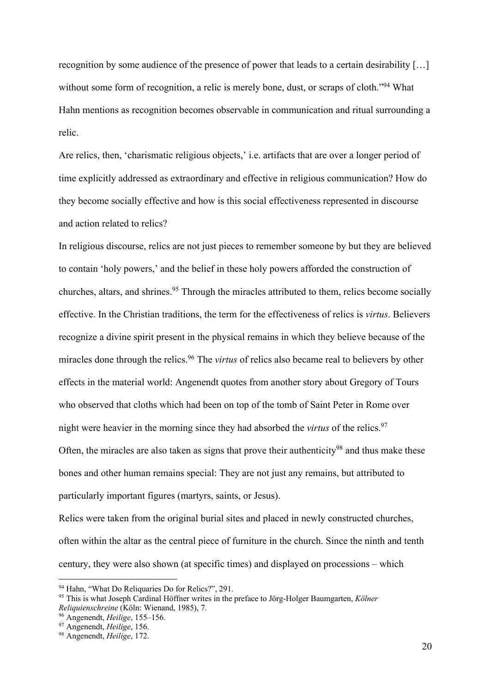recognition by some audience of the presence of power that leads to a certain desirability […] without some form of recognition, a relic is merely bone, dust, or scraps of cloth."<sup>94</sup> What Hahn mentions as recognition becomes observable in communication and ritual surrounding a relic.

Are relics, then, 'charismatic religious objects,' i.e. artifacts that are over a longer period of time explicitly addressed as extraordinary and effective in religious communication? How do they become socially effective and how is this social effectiveness represented in discourse and action related to relics?

In religious discourse, relics are not just pieces to remember someone by but they are believed to contain 'holy powers,' and the belief in these holy powers afforded the construction of churches, altars, and shrines.<sup>95</sup> Through the miracles attributed to them, relics become socially effective. In the Christian traditions, the term for the effectiveness of relics is *virtus*. Believers recognize a divine spirit present in the physical remains in which they believe because of the miracles done through the relics.96 The *virtus* of relics also became real to believers by other effects in the material world: Angenendt quotes from another story about Gregory of Tours who observed that cloths which had been on top of the tomb of Saint Peter in Rome over night were heavier in the morning since they had absorbed the *virtus* of the relics.97 Often, the miracles are also taken as signs that prove their authenticity<sup>98</sup> and thus make these bones and other human remains special: They are not just any remains, but attributed to particularly important figures (martyrs, saints, or Jesus).

Relics were taken from the original burial sites and placed in newly constructed churches, often within the altar as the central piece of furniture in the church. Since the ninth and tenth century, they were also shown (at specific times) and displayed on processions – which

<sup>94</sup> Hahn, "What Do Reliquaries Do for Relics?", 291. 95 This is what Joseph Cardinal Höffner writes in the preface to Jörg-Holger Baumgarten, *Kölner Reliquienschreine* (Köln: Wienand, 1985), 7. 96 Angenendt, *Heilige*, 155–156. 97 Angenendt, *Heilige*, 156. 98 Angenendt, *Heilige*, 172.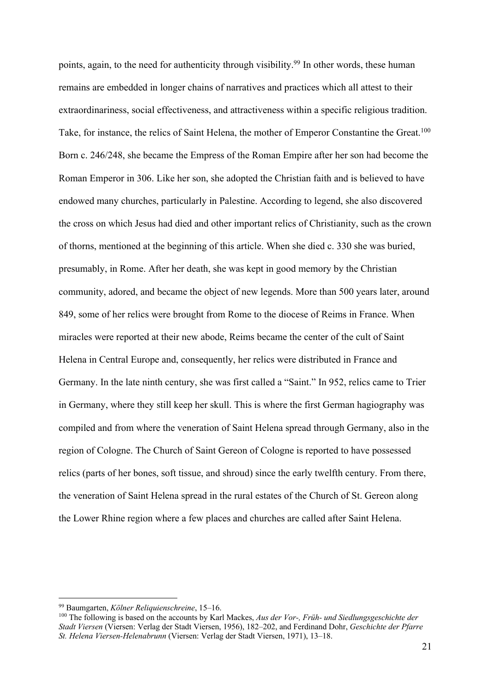points, again, to the need for authenticity through visibility.<sup>99</sup> In other words, these human remains are embedded in longer chains of narratives and practices which all attest to their extraordinariness, social effectiveness, and attractiveness within a specific religious tradition. Take, for instance, the relics of Saint Helena, the mother of Emperor Constantine the Great.<sup>100</sup> Born c. 246/248, she became the Empress of the Roman Empire after her son had become the Roman Emperor in 306. Like her son, she adopted the Christian faith and is believed to have endowed many churches, particularly in Palestine. According to legend, she also discovered the cross on which Jesus had died and other important relics of Christianity, such as the crown of thorns, mentioned at the beginning of this article. When she died c. 330 she was buried, presumably, in Rome. After her death, she was kept in good memory by the Christian community, adored, and became the object of new legends. More than 500 years later, around 849, some of her relics were brought from Rome to the diocese of Reims in France. When miracles were reported at their new abode, Reims became the center of the cult of Saint Helena in Central Europe and, consequently, her relics were distributed in France and Germany. In the late ninth century, she was first called a "Saint." In 952, relics came to Trier in Germany, where they still keep her skull. This is where the first German hagiography was compiled and from where the veneration of Saint Helena spread through Germany, also in the region of Cologne. The Church of Saint Gereon of Cologne is reported to have possessed relics (parts of her bones, soft tissue, and shroud) since the early twelfth century. From there, the veneration of Saint Helena spread in the rural estates of the Church of St. Gereon along the Lower Rhine region where a few places and churches are called after Saint Helena.

<sup>&</sup>lt;sup>99</sup> Baumgarten, *Kölner Reliquienschreine*, 15–16.<br><sup>100</sup> The following is based on the accounts by Karl Mackes, *Aus der Vor-, Früh- und Siedlungsgeschichte der Stadt Viersen* (Viersen: Verlag der Stadt Viersen, 1956), 182–202, and Ferdinand Dohr, *Geschichte der Pfarre St. Helena Viersen-Helenabrunn* (Viersen: Verlag der Stadt Viersen, 1971), 13–18.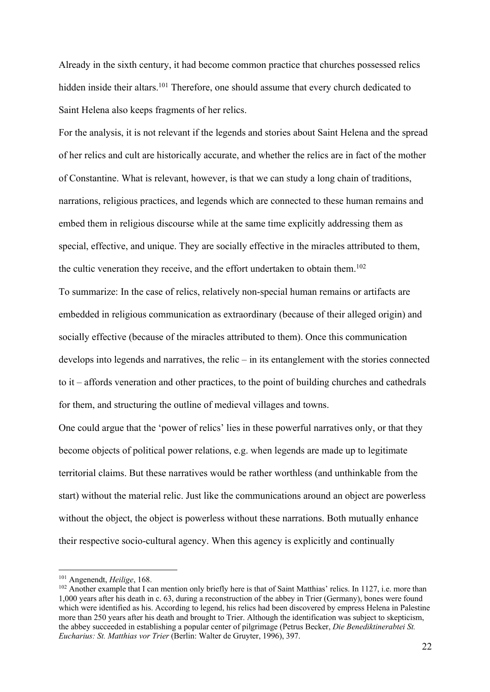Already in the sixth century, it had become common practice that churches possessed relics hidden inside their altars.<sup>101</sup> Therefore, one should assume that every church dedicated to Saint Helena also keeps fragments of her relics.

For the analysis, it is not relevant if the legends and stories about Saint Helena and the spread of her relics and cult are historically accurate, and whether the relics are in fact of the mother of Constantine. What is relevant, however, is that we can study a long chain of traditions, narrations, religious practices, and legends which are connected to these human remains and embed them in religious discourse while at the same time explicitly addressing them as special, effective, and unique. They are socially effective in the miracles attributed to them, the cultic veneration they receive, and the effort undertaken to obtain them.<sup>102</sup>

To summarize: In the case of relics, relatively non-special human remains or artifacts are embedded in religious communication as extraordinary (because of their alleged origin) and socially effective (because of the miracles attributed to them). Once this communication develops into legends and narratives, the relic – in its entanglement with the stories connected to it – affords veneration and other practices, to the point of building churches and cathedrals for them, and structuring the outline of medieval villages and towns.

One could argue that the 'power of relics' lies in these powerful narratives only, or that they become objects of political power relations, e.g. when legends are made up to legitimate territorial claims. But these narratives would be rather worthless (and unthinkable from the start) without the material relic. Just like the communications around an object are powerless without the object, the object is powerless without these narrations. Both mutually enhance their respective socio-cultural agency. When this agency is explicitly and continually

<sup>101</sup> Angenendt, *Heilige*, 168.

<sup>&</sup>lt;sup>102</sup> Another example that I can mention only briefly here is that of Saint Matthias' relics. In 1127, i.e. more than 1,000 years after his death in c. 63, during a reconstruction of the abbey in Trier (Germany), bones were found which were identified as his. According to legend, his relics had been discovered by empress Helena in Palestine more than 250 years after his death and brought to Trier. Although the identification was subject to skepticism, the abbey succeeded in establishing a popular center of pilgrimage (Petrus Becker, *Die Benediktinerabtei St. Eucharius: St. Matthias vor Trier* (Berlin: Walter de Gruyter, 1996), 397.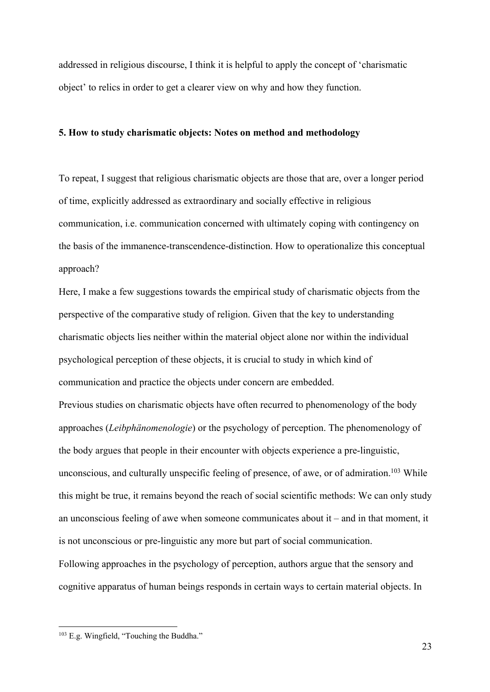addressed in religious discourse, I think it is helpful to apply the concept of 'charismatic object' to relics in order to get a clearer view on why and how they function.

### **5. How to study charismatic objects: Notes on method and methodology**

To repeat, I suggest that religious charismatic objects are those that are, over a longer period of time, explicitly addressed as extraordinary and socially effective in religious communication, i.e. communication concerned with ultimately coping with contingency on the basis of the immanence-transcendence-distinction. How to operationalize this conceptual approach?

Here, I make a few suggestions towards the empirical study of charismatic objects from the perspective of the comparative study of religion. Given that the key to understanding charismatic objects lies neither within the material object alone nor within the individual psychological perception of these objects, it is crucial to study in which kind of communication and practice the objects under concern are embedded.

Previous studies on charismatic objects have often recurred to phenomenology of the body approaches (*Leibphänomenologie*) or the psychology of perception. The phenomenology of the body argues that people in their encounter with objects experience a pre-linguistic, unconscious, and culturally unspecific feeling of presence, of awe, or of admiration.<sup>103</sup> While this might be true, it remains beyond the reach of social scientific methods: We can only study an unconscious feeling of awe when someone communicates about it – and in that moment, it is not unconscious or pre-linguistic any more but part of social communication. Following approaches in the psychology of perception, authors argue that the sensory and cognitive apparatus of human beings responds in certain ways to certain material objects. In

<sup>&</sup>lt;sup>103</sup> E.g. Wingfield, "Touching the Buddha."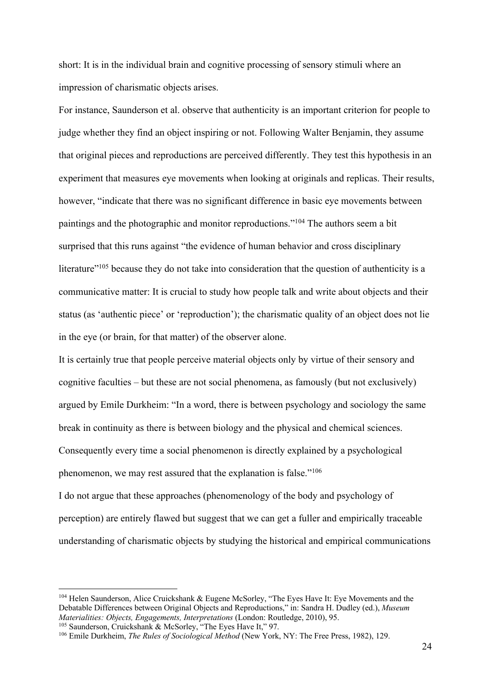short: It is in the individual brain and cognitive processing of sensory stimuli where an impression of charismatic objects arises.

For instance, Saunderson et al. observe that authenticity is an important criterion for people to judge whether they find an object inspiring or not. Following Walter Benjamin, they assume that original pieces and reproductions are perceived differently. They test this hypothesis in an experiment that measures eye movements when looking at originals and replicas. Their results, however, "indicate that there was no significant difference in basic eye movements between paintings and the photographic and monitor reproductions."104 The authors seem a bit surprised that this runs against "the evidence of human behavior and cross disciplinary literature<sup>"105</sup> because they do not take into consideration that the question of authenticity is a communicative matter: It is crucial to study how people talk and write about objects and their status (as 'authentic piece' or 'reproduction'); the charismatic quality of an object does not lie in the eye (or brain, for that matter) of the observer alone.

It is certainly true that people perceive material objects only by virtue of their sensory and cognitive faculties – but these are not social phenomena, as famously (but not exclusively) argued by Emile Durkheim: "In a word, there is between psychology and sociology the same break in continuity as there is between biology and the physical and chemical sciences. Consequently every time a social phenomenon is directly explained by a psychological phenomenon, we may rest assured that the explanation is false."106

I do not argue that these approaches (phenomenology of the body and psychology of perception) are entirely flawed but suggest that we can get a fuller and empirically traceable understanding of charismatic objects by studying the historical and empirical communications

<sup>104</sup> Helen Saunderson, Alice Cruickshank & Eugene McSorley, "The Eyes Have It: Eye Movements and the Debatable Differences between Original Objects and Reproductions," in: Sandra H. Dudley (ed.), *Museum* 

<sup>&</sup>lt;sup>105</sup> Saunderson, Cruickshank & McSorley, "The Eyes Have It," 97.<br><sup>105</sup> Saunderson, Cruickshank & McSorley, "The Eyes Have It," 97.<br><sup>106</sup> Emile Durkheim, *The Rules of Sociological Method* (New York, NY: The Free Press, 19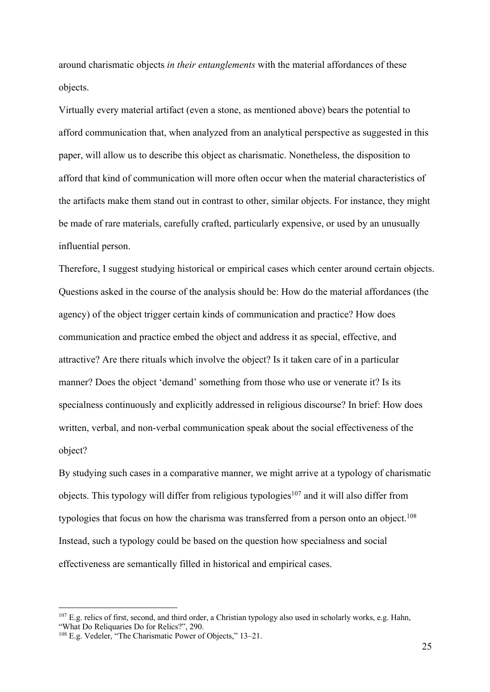around charismatic objects *in their entanglements* with the material affordances of these objects.

Virtually every material artifact (even a stone, as mentioned above) bears the potential to afford communication that, when analyzed from an analytical perspective as suggested in this paper, will allow us to describe this object as charismatic. Nonetheless, the disposition to afford that kind of communication will more often occur when the material characteristics of the artifacts make them stand out in contrast to other, similar objects. For instance, they might be made of rare materials, carefully crafted, particularly expensive, or used by an unusually influential person.

Therefore, I suggest studying historical or empirical cases which center around certain objects. Questions asked in the course of the analysis should be: How do the material affordances (the agency) of the object trigger certain kinds of communication and practice? How does communication and practice embed the object and address it as special, effective, and attractive? Are there rituals which involve the object? Is it taken care of in a particular manner? Does the object 'demand' something from those who use or venerate it? Is its specialness continuously and explicitly addressed in religious discourse? In brief: How does written, verbal, and non-verbal communication speak about the social effectiveness of the object?

By studying such cases in a comparative manner, we might arrive at a typology of charismatic objects. This typology will differ from religious typologies<sup>107</sup> and it will also differ from typologies that focus on how the charisma was transferred from a person onto an object.<sup>108</sup> Instead, such a typology could be based on the question how specialness and social effectiveness are semantically filled in historical and empirical cases.

 $107$  E.g. relics of first, second, and third order, a Christian typology also used in scholarly works, e.g. Hahn, "What Do Reliquaries Do for Relics?", 290.<br><sup>108</sup> E.g. Vedeler, "The Charismatic Power of Objects," 13–21.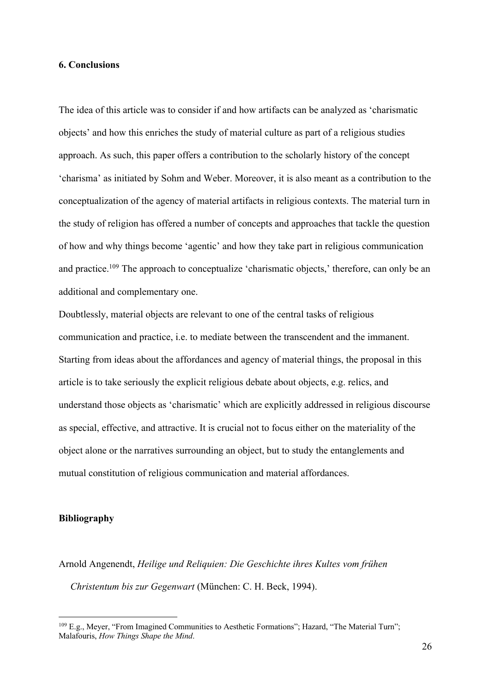#### **6. Conclusions**

The idea of this article was to consider if and how artifacts can be analyzed as 'charismatic objects' and how this enriches the study of material culture as part of a religious studies approach. As such, this paper offers a contribution to the scholarly history of the concept 'charisma' as initiated by Sohm and Weber. Moreover, it is also meant as a contribution to the conceptualization of the agency of material artifacts in religious contexts. The material turn in the study of religion has offered a number of concepts and approaches that tackle the question of how and why things become 'agentic' and how they take part in religious communication and practice.<sup>109</sup> The approach to conceptualize 'charismatic objects,' therefore, can only be an additional and complementary one.

Doubtlessly, material objects are relevant to one of the central tasks of religious communication and practice, i.e. to mediate between the transcendent and the immanent. Starting from ideas about the affordances and agency of material things, the proposal in this article is to take seriously the explicit religious debate about objects, e.g. relics, and understand those objects as 'charismatic' which are explicitly addressed in religious discourse as special, effective, and attractive. It is crucial not to focus either on the materiality of the object alone or the narratives surrounding an object, but to study the entanglements and mutual constitution of religious communication and material affordances.

## **Bibliography**

Arnold Angenendt, *Heilige und Reliquien: Die Geschichte ihres Kultes vom frühen Christentum bis zur Gegenwart* (München: C. H. Beck, 1994).

<sup>109</sup> E.g., Meyer, "From Imagined Communities to Aesthetic Formations"; Hazard, "The Material Turn"; Malafouris, *How Things Shape the Mind*.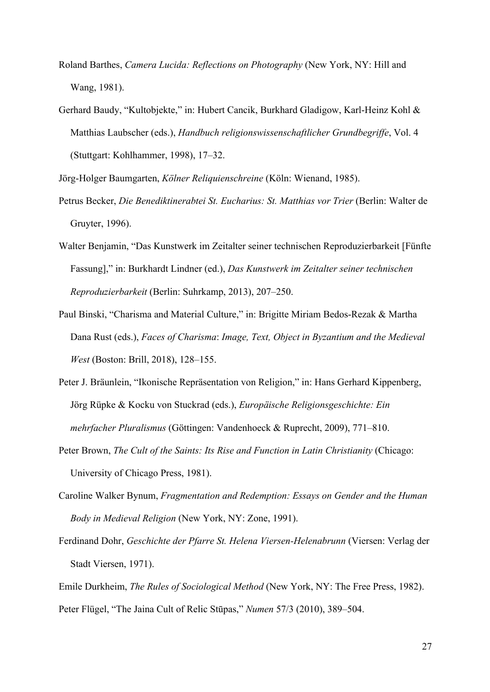- Roland Barthes, *Camera Lucida: Reflections on Photography* (New York, NY: Hill and Wang, 1981).
- Gerhard Baudy, "Kultobjekte," in: Hubert Cancik, Burkhard Gladigow, Karl-Heinz Kohl & Matthias Laubscher (eds.), *Handbuch religionswissenschaftlicher Grundbegriffe*, Vol. 4 (Stuttgart: Kohlhammer, 1998), 17–32.

Jörg-Holger Baumgarten, *Kölner Reliquienschreine* (Köln: Wienand, 1985).

- Petrus Becker, *Die Benediktinerabtei St. Eucharius: St. Matthias vor Trier (Berlin: Walter de* Gruyter, 1996).
- Walter Benjamin, "Das Kunstwerk im Zeitalter seiner technischen Reproduzierbarkeit [Fünfte Fassung]," in: Burkhardt Lindner (ed.), *Das Kunstwerk im Zeitalter seiner technischen Reproduzierbarkeit* (Berlin: Suhrkamp, 2013), 207–250.
- Paul Binski, "Charisma and Material Culture," in: Brigitte Miriam Bedos-Rezak & Martha Dana Rust (eds.), *Faces of Charisma*: *Image, Text, Object in Byzantium and the Medieval West* (Boston: Brill, 2018), 128–155.
- Peter J. Bräunlein, "Ikonische Repräsentation von Religion," in: Hans Gerhard Kippenberg, Jörg Rüpke & Kocku von Stuckrad (eds.), *Europäische Religionsgeschichte: Ein mehrfacher Pluralismus* (Göttingen: Vandenhoeck & Ruprecht, 2009), 771–810.
- Peter Brown, *The Cult of the Saints: Its Rise and Function in Latin Christianity* (Chicago: University of Chicago Press, 1981).
- Caroline Walker Bynum, *Fragmentation and Redemption: Essays on Gender and the Human Body in Medieval Religion* (New York, NY: Zone, 1991).
- Ferdinand Dohr, *Geschichte der Pfarre St. Helena Viersen-Helenabrunn* (Viersen: Verlag der Stadt Viersen, 1971).
- Emile Durkheim, *The Rules of Sociological Method* (New York, NY: The Free Press, 1982). Peter Flügel, "The Jaina Cult of Relic Stūpas," *Numen* 57/3 (2010), 389–504.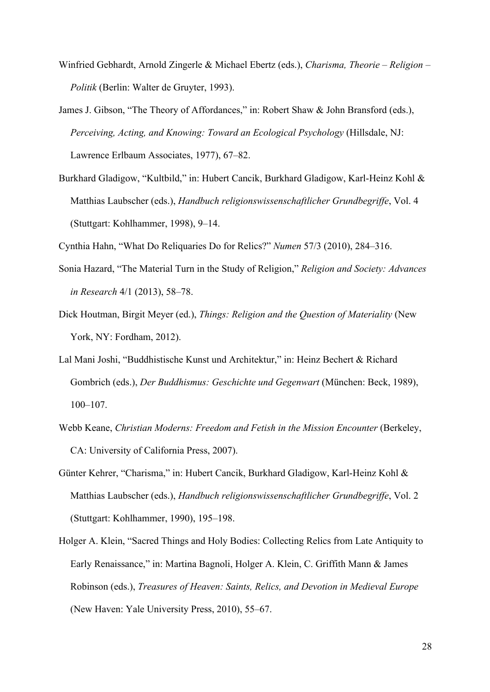- Winfried Gebhardt, Arnold Zingerle & Michael Ebertz (eds.), *Charisma, Theorie Religion Politik* (Berlin: Walter de Gruyter, 1993).
- James J. Gibson, "The Theory of Affordances," in: Robert Shaw & John Bransford (eds.), *Perceiving, Acting, and Knowing: Toward an Ecological Psychology* (Hillsdale, NJ: Lawrence Erlbaum Associates, 1977), 67–82.
- Burkhard Gladigow, "Kultbild," in: Hubert Cancik, Burkhard Gladigow, Karl-Heinz Kohl & Matthias Laubscher (eds.), *Handbuch religionswissenschaftlicher Grundbegriffe*, Vol. 4 (Stuttgart: Kohlhammer, 1998), 9–14.

Cynthia Hahn, "What Do Reliquaries Do for Relics?" *Numen* 57/3 (2010), 284–316.

- Sonia Hazard, "The Material Turn in the Study of Religion," *Religion and Society: Advances in Research* 4/1 (2013), 58–78.
- Dick Houtman, Birgit Meyer (ed.), *Things: Religion and the Question of Materiality* (New York, NY: Fordham, 2012).
- Lal Mani Joshi, "Buddhistische Kunst und Architektur," in: Heinz Bechert & Richard Gombrich (eds.), *Der Buddhismus: Geschichte und Gegenwart* (München: Beck, 1989), 100–107.
- Webb Keane, *Christian Moderns: Freedom and Fetish in the Mission Encounter* (Berkeley, CA: University of California Press, 2007).
- Günter Kehrer, "Charisma," in: Hubert Cancik, Burkhard Gladigow, Karl-Heinz Kohl & Matthias Laubscher (eds.), *Handbuch religionswissenschaftlicher Grundbegriffe*, Vol. 2 (Stuttgart: Kohlhammer, 1990), 195–198.
- Holger A. Klein, "Sacred Things and Holy Bodies: Collecting Relics from Late Antiquity to Early Renaissance," in: Martina Bagnoli, Holger A. Klein, C. Griffith Mann & James Robinson (eds.), *Treasures of Heaven: Saints, Relics, and Devotion in Medieval Europe*  (New Haven: Yale University Press, 2010), 55–67.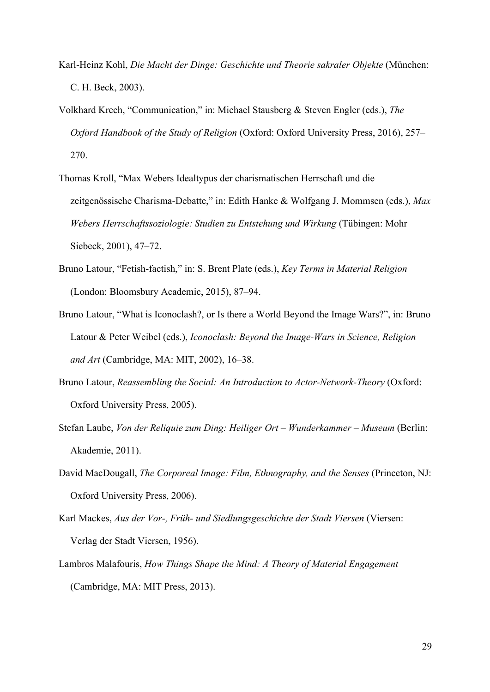- Karl-Heinz Kohl, *Die Macht der Dinge: Geschichte und Theorie sakraler Objekte* (München: C. H. Beck, 2003).
- Volkhard Krech, "Communication," in: Michael Stausberg & Steven Engler (eds.), *The Oxford Handbook of the Study of Religion* (Oxford: Oxford University Press, 2016), 257– 270.
- Thomas Kroll, "Max Webers Idealtypus der charismatischen Herrschaft und die zeitgenössische Charisma-Debatte," in: Edith Hanke & Wolfgang J. Mommsen (eds.), *Max Webers Herrschaftssoziologie: Studien zu Entstehung und Wirkung* (Tübingen: Mohr Siebeck, 2001), 47–72.
- Bruno Latour, "Fetish-factish," in: S. Brent Plate (eds.), *Key Terms in Material Religion*  (London: Bloomsbury Academic, 2015), 87–94.
- Bruno Latour, "What is Iconoclash?, or Is there a World Beyond the Image Wars?", in: Bruno Latour & Peter Weibel (eds.), *Iconoclash: Beyond the Image-Wars in Science, Religion and Art* (Cambridge, MA: MIT, 2002), 16–38.
- Bruno Latour, *Reassembling the Social: An Introduction to Actor-Network-Theory* (Oxford: Oxford University Press, 2005).
- Stefan Laube, *Von der Reliquie zum Ding: Heiliger Ort Wunderkammer Museum* (Berlin: Akademie, 2011).
- David MacDougall, *The Corporeal Image: Film, Ethnography, and the Senses* (Princeton, NJ: Oxford University Press, 2006).
- Karl Mackes, *Aus der Vor-, Früh- und Siedlungsgeschichte der Stadt Viersen* (Viersen: Verlag der Stadt Viersen, 1956).
- Lambros Malafouris, *How Things Shape the Mind: A Theory of Material Engagement*  (Cambridge, MA: MIT Press, 2013).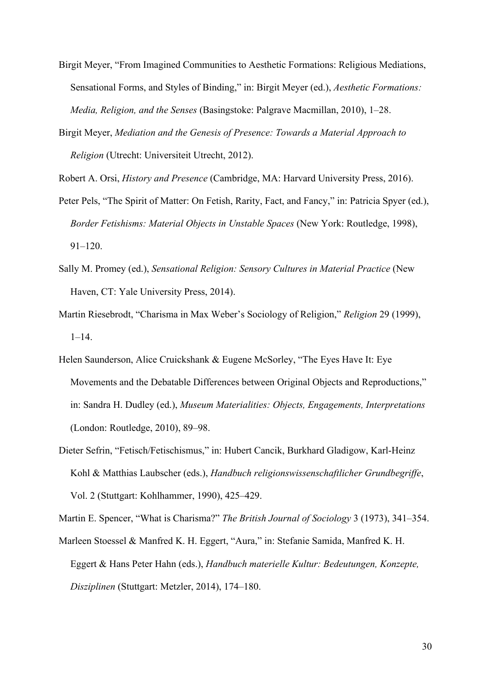- Birgit Meyer, "From Imagined Communities to Aesthetic Formations: Religious Mediations, Sensational Forms, and Styles of Binding," in: Birgit Meyer (ed.), *Aesthetic Formations: Media, Religion, and the Senses* (Basingstoke: Palgrave Macmillan, 2010), 1–28.
- Birgit Meyer, *Mediation and the Genesis of Presence: Towards a Material Approach to Religion* (Utrecht: Universiteit Utrecht, 2012).
- Robert A. Orsi, *History and Presence* (Cambridge, MA: Harvard University Press, 2016).
- Peter Pels, "The Spirit of Matter: On Fetish, Rarity, Fact, and Fancy," in: Patricia Spyer (ed.), *Border Fetishisms: Material Objects in Unstable Spaces* (New York: Routledge, 1998), 91–120.
- Sally M. Promey (ed.), *Sensational Religion: Sensory Cultures in Material Practice* (New Haven, CT: Yale University Press, 2014).
- Martin Riesebrodt, "Charisma in Max Weber's Sociology of Religion," *Religion* 29 (1999), 1–14.
- Helen Saunderson, Alice Cruickshank & Eugene McSorley, "The Eyes Have It: Eye Movements and the Debatable Differences between Original Objects and Reproductions," in: Sandra H. Dudley (ed.), *Museum Materialities: Objects, Engagements, Interpretations*  (London: Routledge, 2010), 89–98.
- Dieter Sefrin, "Fetisch/Fetischismus," in: Hubert Cancik, Burkhard Gladigow, Karl-Heinz Kohl & Matthias Laubscher (eds.), *Handbuch religionswissenschaftlicher Grundbegriffe*, Vol. 2 (Stuttgart: Kohlhammer, 1990), 425–429.

Martin E. Spencer, "What is Charisma?" *The British Journal of Sociology* 3 (1973), 341–354.

Marleen Stoessel & Manfred K. H. Eggert, "Aura," in: Stefanie Samida, Manfred K. H. Eggert & Hans Peter Hahn (eds.), *Handbuch materielle Kultur: Bedeutungen, Konzepte, Disziplinen* (Stuttgart: Metzler, 2014), 174–180.